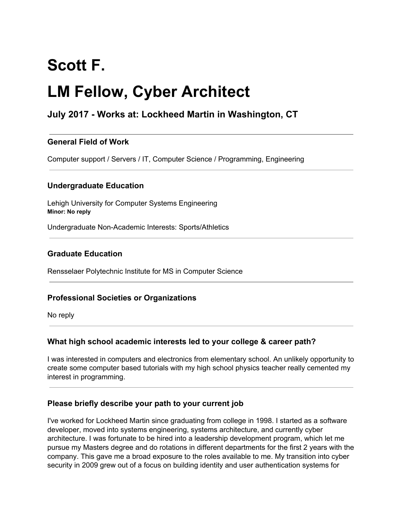# **Scott F.**

## **LM Fellow, Cyber Architect**

### **July 2017 - Works at: Lockheed Martin in Washington, CT**

#### **General Field of Work**

Computer support / Servers / IT, Computer Science / Programming, Engineering

#### **Undergraduate Education**

Lehigh University for Computer Systems Engineering **Minor: No reply**

Undergraduate Non-Academic Interests: Sports/Athletics

#### **Graduate Education**

Rensselaer Polytechnic Institute for MS in Computer Science

#### **Professional Societies or Organizations**

No reply

#### **What high school academic interests led to your college & career path?**

I was interested in computers and electronics from elementary school. An unlikely opportunity to create some computer based tutorials with my high school physics teacher really cemented my interest in programming.

#### **Please briefly describe your path to your current job**

I've worked for Lockheed Martin since graduating from college in 1998. I started as a software developer, moved into systems engineering, systems architecture, and currently cyber architecture. I was fortunate to be hired into a leadership development program, which let me pursue my Masters degree and do rotations in different departments for the first 2 years with the company. This gave me a broad exposure to the roles available to me. My transition into cyber security in 2009 grew out of a focus on building identity and user authentication systems for